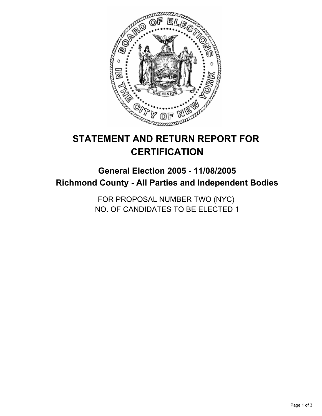

# **STATEMENT AND RETURN REPORT FOR CERTIFICATION**

## **General Election 2005 - 11/08/2005 Richmond County - All Parties and Independent Bodies**

FOR PROPOSAL NUMBER TWO (NYC) NO. OF CANDIDATES TO BE ELECTED 1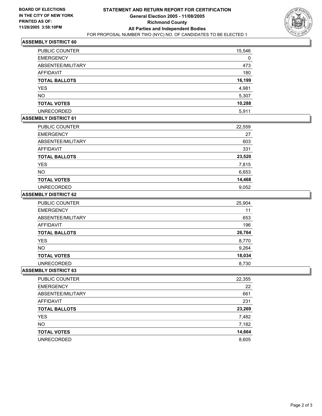

#### **ASSEMBLY DISTRICT 60**

| PUBLIC COUNTER       | 15,546 |
|----------------------|--------|
| <b>EMERGENCY</b>     | 0      |
| ABSENTEE/MILITARY    | 473    |
| AFFIDAVIT            | 180    |
| <b>TOTAL BALLOTS</b> | 16,199 |
| <b>YES</b>           | 4,981  |
| <b>NO</b>            | 5,307  |
| <b>TOTAL VOTES</b>   | 10,288 |
| <b>UNRECORDED</b>    | 5,911  |

#### **ASSEMBLY DISTRICT 61**

| PUBLIC COUNTER       | 22,559 |
|----------------------|--------|
| <b>EMERGENCY</b>     | 27     |
| ABSENTEE/MILITARY    | 603    |
| <b>AFFIDAVIT</b>     | 331    |
| <b>TOTAL BALLOTS</b> | 23,520 |
| <b>YES</b>           | 7,815  |
| <b>NO</b>            | 6,653  |
| <b>TOTAL VOTES</b>   | 14,468 |
| <b>UNRECORDED</b>    | 9,052  |

#### **ASSEMBLY DISTRICT 62**

| PUBLIC COUNTER       | 25,904 |
|----------------------|--------|
| <b>EMERGENCY</b>     | 11     |
| ABSENTEE/MILITARY    | 653    |
| AFFIDAVIT            | 196    |
| <b>TOTAL BALLOTS</b> | 26,764 |
| <b>YES</b>           | 8,770  |
| <b>NO</b>            | 9,264  |
| <b>TOTAL VOTES</b>   | 18,034 |
| <b>UNRECORDED</b>    | 8,730  |

#### **ASSEMBLY DISTRICT 63**

| PUBLIC COUNTER       | 22,355 |
|----------------------|--------|
| <b>EMERGENCY</b>     | 22     |
| ABSENTEE/MILITARY    | 661    |
| AFFIDAVIT            | 231    |
| <b>TOTAL BALLOTS</b> | 23,269 |
| <b>YES</b>           | 7,482  |
| <b>NO</b>            | 7,182  |
| <b>TOTAL VOTES</b>   | 14,664 |
| <b>UNRECORDED</b>    | 8,605  |